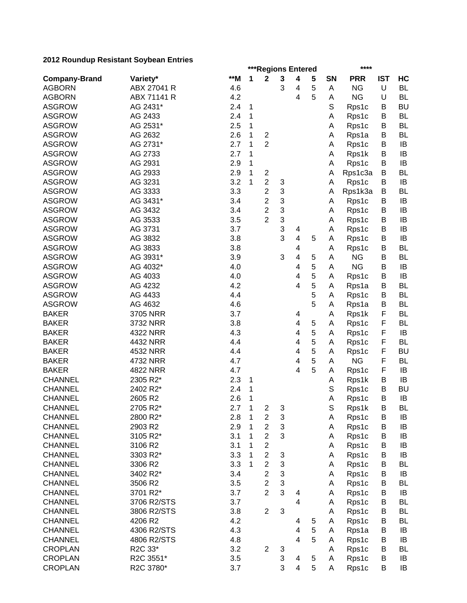| zu iz Kodnuap Resistant obybean Entries |             |     |              | ***Regions Entered      |                           |                         |   | ****   |                    |            |           |  |
|-----------------------------------------|-------------|-----|--------------|-------------------------|---------------------------|-------------------------|---|--------|--------------------|------------|-----------|--|
| <b>Company-Brand</b>                    | Variety*    | **M | 1            | $\mathbf 2$             | 3                         | 4                       | 5 | SN     | <b>PRR</b>         | <b>IST</b> | HC        |  |
| <b>AGBORN</b>                           | ABX 27041 R | 4.6 |              |                         | 3                         | 4                       | 5 | Α      | <b>NG</b>          | U          | <b>BL</b> |  |
| <b>AGBORN</b>                           | ABX 71141 R | 4.2 |              |                         |                           | 4                       | 5 | Α      | <b>NG</b>          | U          | <b>BL</b> |  |
| <b>ASGROW</b>                           | AG 2431*    | 2.4 | 1            |                         |                           |                         |   | S      | Rps1c              | B          | <b>BU</b> |  |
| <b>ASGROW</b>                           | AG 2433     | 2.4 | 1            |                         |                           |                         |   | Α      | Rps1c              | B          | <b>BL</b> |  |
| <b>ASGROW</b>                           | AG 2531*    | 2.5 | 1            |                         |                           |                         |   | Α      | Rps1c              | B          | <b>BL</b> |  |
| <b>ASGROW</b>                           | AG 2632     | 2.6 | 1            | $\overline{\mathbf{c}}$ |                           |                         |   | Α      | Rps1a              | B          | <b>BL</b> |  |
| <b>ASGROW</b>                           | AG 2731*    | 2.7 | 1            | $\overline{2}$          |                           |                         |   | Α      | Rps1c              | B          | IB        |  |
| <b>ASGROW</b>                           | AG 2733     | 2.7 | 1            |                         |                           |                         |   | Α      | Rps1k              | B          | IB        |  |
| <b>ASGROW</b>                           | AG 2931     | 2.9 | 1            |                         |                           |                         |   | Α      | Rps1c              | B          | IB        |  |
| <b>ASGROW</b>                           | AG 2933     | 2.9 | 1            | $\overline{2}$          |                           |                         |   | Α      | Rps1c3a            | B          | <b>BL</b> |  |
| <b>ASGROW</b>                           | AG 3231     | 3.2 | 1            | $\overline{2}$          | 3                         |                         |   | Α      | Rps1c              | B          | IB        |  |
| <b>ASGROW</b>                           | AG 3333     | 3.3 |              | $\overline{c}$          | 3                         |                         |   | Α      | Rps1k3a            | B          | <b>BL</b> |  |
| <b>ASGROW</b>                           | AG 3431*    | 3.4 |              | $\overline{2}$          | 3                         |                         |   | A      | Rps1c              | B          | IB        |  |
| <b>ASGROW</b>                           | AG 3432     | 3.4 |              | $\overline{2}$          | 3                         |                         |   | Α      | Rps1c              | B          | IB        |  |
| <b>ASGROW</b>                           | AG 3533     | 3.5 |              | $\overline{2}$          | 3                         |                         |   | Α      | Rps1c              | B          | IB        |  |
| <b>ASGROW</b>                           | AG 3731     | 3.7 |              |                         | 3                         | 4                       |   | Α      | Rps1c              | B          | IB        |  |
| <b>ASGROW</b>                           | AG 3832     | 3.8 |              |                         | 3                         | 4                       | 5 | Α      | Rps1c              | B          | IB        |  |
| <b>ASGROW</b>                           | AG 3833     | 3.8 |              |                         |                           | 4                       |   |        |                    | B          | <b>BL</b> |  |
| <b>ASGROW</b>                           | AG 3931*    | 3.9 |              |                         | 3                         | $\overline{\mathbf{4}}$ | 5 | Α<br>Α | Rps1c<br><b>NG</b> | B          | <b>BL</b> |  |
| <b>ASGROW</b>                           |             | 4.0 |              |                         |                           | 4                       | 5 |        | <b>NG</b>          | B          | IB        |  |
|                                         | AG 4032*    |     |              |                         |                           |                         | 5 | Α      |                    |            |           |  |
| <b>ASGROW</b>                           | AG 4033     | 4.0 |              |                         |                           | 4<br>$\overline{4}$     | 5 | A      | Rps1c              | B          | IB        |  |
| <b>ASGROW</b>                           | AG 4232     | 4.2 |              |                         |                           |                         |   | A      | Rps1a              | B          | <b>BL</b> |  |
| <b>ASGROW</b>                           | AG 4433     | 4.4 |              |                         |                           |                         | 5 | Α      | Rps1c              | B          | <b>BL</b> |  |
| <b>ASGROW</b>                           | AG 4632     | 4.6 |              |                         |                           |                         | 5 | Α      | Rps1a              | B          | BL        |  |
| <b>BAKER</b>                            | 3705 NRR    | 3.7 |              |                         |                           | 4                       |   | A      | Rps1k              | F          | BL        |  |
| <b>BAKER</b>                            | 3732 NRR    | 3.8 |              |                         |                           | 4                       | 5 | A      | Rps1c              | F          | BL        |  |
| <b>BAKER</b>                            | 4322 NRR    | 4.3 |              |                         |                           | 4                       | 5 | Α      | Rps1c              | F          | IB        |  |
| <b>BAKER</b>                            | 4432 NRR    | 4.4 |              |                         |                           | 4                       | 5 | Α      | Rps1c              | F          | BL        |  |
| <b>BAKER</b>                            | 4532 NRR    | 4.4 |              |                         |                           | 4                       | 5 | Α      | Rps1c              | F          | <b>BU</b> |  |
| <b>BAKER</b>                            | 4732 NRR    | 4.7 |              |                         |                           | 4                       | 5 | Α      | <b>NG</b>          | F          | <b>BL</b> |  |
| <b>BAKER</b>                            | 4822 NRR    | 4.7 |              |                         |                           | 4                       | 5 | Α      | Rps1c              | F          | IB        |  |
| <b>CHANNEL</b>                          | 2305 R2*    | 2.3 | 1            |                         |                           |                         |   | Α      | Rps1k              | B          | IB        |  |
| <b>CHANNEL</b>                          | 2402 R2*    | 2.4 | 1            |                         |                           |                         |   | S      | Rps1c              | B          | <b>BU</b> |  |
| <b>CHANNEL</b>                          | 2605 R2     | 2.6 | 1            |                         |                           |                         |   | Α      | Rps1c              | B          | IB        |  |
| <b>CHANNEL</b>                          | 2705 R2*    | 2.7 | $\mathbf{1}$ | $\mathbf 2$             | 3                         |                         |   | S      | Rps1k              | B          | BL        |  |
| <b>CHANNEL</b>                          | 2800 R2*    | 2.8 | 1            | $\mathbf 2$             | 3                         |                         |   | A      | Rps1c              | B          | IB        |  |
| <b>CHANNEL</b>                          | 2903 R2     | 2.9 | $\mathbf 1$  | $\overline{2}$          | 3                         |                         |   | A      | Rps1c              | B          | IB        |  |
| <b>CHANNEL</b>                          | 3105 R2*    | 3.1 | 1            | $\overline{2}$          | 3                         |                         |   | A      | Rps1c              | B          | IB        |  |
| <b>CHANNEL</b>                          | 3106 R2     | 3.1 | 1            | $\overline{c}$          |                           |                         |   | Α      | Rps1c              | B          | IB        |  |
| <b>CHANNEL</b>                          | 3303 R2*    | 3.3 | 1            | $\overline{c}$          | 3                         |                         |   | Α      | Rps1c              | B          | IB        |  |
| <b>CHANNEL</b>                          | 3306 R2     | 3.3 | 1            | $\overline{2}$          | 3                         |                         |   | A      | Rps1c              | B          | <b>BL</b> |  |
| <b>CHANNEL</b>                          | 3402 R2*    | 3.4 |              | $\overline{2}$          | 3                         |                         |   | A      | Rps1c              | B          | IB        |  |
| <b>CHANNEL</b>                          | 3506 R2     | 3.5 |              | $\overline{2}$          | $\ensuremath{\mathsf{3}}$ |                         |   | Α      | Rps1c              | В          | <b>BL</b> |  |
| <b>CHANNEL</b>                          | 3701 R2*    | 3.7 |              | $\overline{2}$          | 3                         | 4                       |   | Α      | Rps1c              | B          | IB        |  |
| <b>CHANNEL</b>                          | 3706 R2/STS | 3.7 |              |                         |                           | 4                       |   | A      | Rps1c              | B          | <b>BL</b> |  |
| <b>CHANNEL</b>                          | 3806 R2/STS | 3.8 |              | $\overline{2}$          | 3                         |                         |   | Α      | Rps1c              | B          | <b>BL</b> |  |
| <b>CHANNEL</b>                          | 4206 R2     | 4.2 |              |                         |                           | 4                       | 5 | Α      | Rps1c              | B          | <b>BL</b> |  |
| <b>CHANNEL</b>                          | 4306 R2/STS | 4.3 |              |                         |                           | 4                       | 5 | Α      | Rps1a              | B          | IB        |  |
| <b>CHANNEL</b>                          | 4806 R2/STS | 4.8 |              |                         |                           | 4                       | 5 | Α      | Rps1c              | B          | IB        |  |
| <b>CROPLAN</b>                          | R2C 33*     | 3.2 |              | 2                       | 3                         |                         |   | A      | Rps1c              | B          | <b>BL</b> |  |
| <b>CROPLAN</b>                          | R2C 3551*   | 3.5 |              |                         | 3                         | 4                       | 5 | A      | Rps1c              | B          | IB        |  |
| <b>CROPLAN</b>                          | R2C 3780*   | 3.7 |              |                         | 3                         | $\overline{\mathbf{4}}$ | 5 | A      | Rps1c              | B          | IB        |  |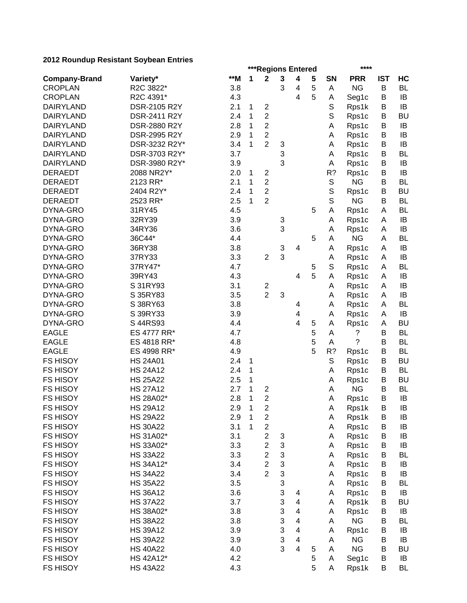|                      |                 |     | ****<br>***Regions Entered |                         |   |                         |   |             |            |            |           |
|----------------------|-----------------|-----|----------------------------|-------------------------|---|-------------------------|---|-------------|------------|------------|-----------|
| <b>Company-Brand</b> | Variety*        | **M | 1                          | $\mathbf 2$             | 3 | 4                       | 5 | SN          | <b>PRR</b> | <b>IST</b> | HC        |
| <b>CROPLAN</b>       | R2C 3822*       | 3.8 |                            |                         | 3 | 4                       | 5 | A           | <b>NG</b>  | B          | <b>BL</b> |
| <b>CROPLAN</b>       | R2C 4391*       | 4.3 |                            |                         |   | 4                       | 5 | Α           | Seg1c      | B          | IB        |
| <b>DAIRYLAND</b>     | DSR-2105 R2Y    | 2.1 | 1                          | $\mathbf 2$             |   |                         |   | S           | Rps1k      | B          | IB        |
| <b>DAIRYLAND</b>     | DSR-2411 R2Y    | 2.4 | 1                          | $\overline{2}$          |   |                         |   | S           | Rps1c      | B          | <b>BU</b> |
| <b>DAIRYLAND</b>     | DSR-2880 R2Y    | 2.8 | 1                          | $\overline{2}$          |   |                         |   | Α           | Rps1c      | B          | IB        |
| <b>DAIRYLAND</b>     | DSR-2995 R2Y    | 2.9 | 1                          | $\overline{2}$          |   |                         |   | Α           | Rps1c      | B          | IB        |
| <b>DAIRYLAND</b>     | DSR-3232 R2Y*   | 3.4 | 1                          | $\overline{2}$          | 3 |                         |   | Α           | Rps1c      | B          | IB        |
| <b>DAIRYLAND</b>     | DSR-3703 R2Y*   | 3.7 |                            |                         | 3 |                         |   | Α           | Rps1c      | B          | <b>BL</b> |
| <b>DAIRYLAND</b>     | DSR-3980 R2Y*   | 3.9 |                            |                         | 3 |                         |   | Α           | Rps1c      | B          | IB        |
| <b>DERAEDT</b>       | 2088 NR2Y*      | 2.0 | 1                          | $\overline{c}$          |   |                         |   | R?          | Rps1c      | B          | IB        |
| <b>DERAEDT</b>       | 2123 RR*        | 2.1 | 1                          | $\overline{2}$          |   |                         |   | $\mathbb S$ | <b>NG</b>  | B          | <b>BL</b> |
| <b>DERAEDT</b>       | 2404 R2Y*       | 2.4 | 1                          | $\overline{2}$          |   |                         |   | $\mathbb S$ | Rps1c      | B          | <b>BU</b> |
| <b>DERAEDT</b>       | 2523 RR*        | 2.5 | 1                          | $\overline{2}$          |   |                         |   | $\mathbb S$ | <b>NG</b>  | B          | <b>BL</b> |
| DYNA-GRO             | 31RY45          | 4.5 |                            |                         |   |                         | 5 | Α           | Rps1c      | Α          | <b>BL</b> |
| DYNA-GRO             | 32RY39          | 3.9 |                            |                         | 3 |                         |   | Α           | Rps1c      | A          | IB        |
| DYNA-GRO             | 34RY36          | 3.6 |                            |                         | 3 |                         |   | Α           | Rps1c      | A          | IB        |
| DYNA-GRO             | 36C44*          | 4.4 |                            |                         |   |                         | 5 | A           | <b>NG</b>  | Α          | <b>BL</b> |
| DYNA-GRO             | 36RY38          | 3.8 |                            |                         | 3 | 4                       |   | Α           | Rps1c      | A          | IB        |
| DYNA-GRO             | 37RY33          | 3.3 |                            | $\overline{2}$          | 3 |                         |   | Α           | Rps1c      | A          | IB        |
| DYNA-GRO             | 37RY47*         | 4.7 |                            |                         |   |                         | 5 | S           | Rps1c      | A          | <b>BL</b> |
| DYNA-GRO             | 39RY43          | 4.3 |                            |                         |   | 4                       | 5 | Α           | Rps1c      | Α          | IB        |
| DYNA-GRO             | S 31RY93        | 3.1 |                            | $\overline{\mathbf{c}}$ |   |                         |   | Α           | Rps1c      | A          | IB        |
| DYNA-GRO             | S 35RY83        | 3.5 |                            | $\overline{2}$          | 3 |                         |   | Α           | Rps1c      | Α          | IB        |
| DYNA-GRO             | S 38RY63        | 3.8 |                            |                         |   | 4                       |   | Α           | Rps1c      | A          | <b>BL</b> |
| DYNA-GRO             | S 39RY33        | 3.9 |                            |                         |   | 4                       |   | A           | Rps1c      | A          | IB        |
| DYNA-GRO             | S 44RS93        | 4.4 |                            |                         |   | 4                       | 5 | Α           | Rps1c      | А          | <b>BU</b> |
| <b>EAGLE</b>         | ES 4777 RR*     | 4.7 |                            |                         |   |                         | 5 | Α           | ?          | B          | <b>BL</b> |
| <b>EAGLE</b>         | ES 4818 RR*     | 4.8 |                            |                         |   |                         | 5 | A           | ?          | B          | BL        |
| <b>EAGLE</b>         | ES 4998 RR*     | 4.9 |                            |                         |   |                         | 5 | R?          | Rps1c      | В          | BL        |
| <b>FS HISOY</b>      | <b>HS 24A01</b> | 2.4 | 1                          |                         |   |                         |   | S           | Rps1c      | B          | <b>BU</b> |
| <b>FS HISOY</b>      | <b>HS 24A12</b> | 2.4 | 1                          |                         |   |                         |   | A           | Rps1c      | В          | <b>BL</b> |
| <b>FS HISOY</b>      | <b>HS 25A22</b> | 2.5 | 1                          |                         |   |                         |   | Α           | Rps1c      | B          | <b>BU</b> |
| <b>FS HISOY</b>      | <b>HS 27A12</b> | 2.7 | 1                          | $\overline{2}$          |   |                         |   | Α           | <b>NG</b>  | B          | <b>BL</b> |
| <b>FS HISOY</b>      | HS 28A02*       | 2.8 | 1                          | $\overline{2}$          |   |                         |   | Α           | Rps1c      | B          | IB        |
| <b>FS HISOY</b>      | <b>HS 29A12</b> | 2.9 | $\mathbf 1$                | $\boldsymbol{2}$        |   |                         |   | A           | Rps1k      | B          | IB        |
| <b>FS HISOY</b>      | <b>HS 29A22</b> | 2.9 | $\mathbf 1$                | $\overline{\mathbf{c}}$ |   |                         |   | Α           | Rps1k      | B          | IB        |
| <b>FS HISOY</b>      | <b>HS 30A22</b> | 3.1 | 1                          | $\overline{\mathbf{c}}$ |   |                         |   | A           | Rps1c      | B          | IB        |
| <b>FS HISOY</b>      | HS 31A02*       | 3.1 |                            | $\overline{2}$          | 3 |                         |   | A           | Rps1c      | B          | IB        |
| <b>FS HISOY</b>      | HS 33A02*       | 3.3 |                            | $\overline{2}$          | 3 |                         |   | Α           | Rps1c      | B          | IB        |
| <b>FS HISOY</b>      | <b>HS 33A22</b> | 3.3 |                            | $\overline{\mathbf{c}}$ | 3 |                         |   | A           | Rps1c      | B          | <b>BL</b> |
| <b>FS HISOY</b>      | HS 34A12*       | 3.4 |                            | $\overline{c}$          | 3 |                         |   | Α           | Rps1c      | B          | IB        |
| <b>FS HISOY</b>      | <b>HS 34A22</b> | 3.4 |                            | $\overline{2}$          | 3 |                         |   | A           | Rps1c      | B          | IB        |
| <b>FS HISOY</b>      | <b>HS 35A22</b> | 3.5 |                            |                         | 3 |                         |   | Α           | Rps1c      | Β          | <b>BL</b> |
| <b>FS HISOY</b>      | <b>HS 36A12</b> | 3.6 |                            |                         | 3 | 4                       |   | Α           | Rps1c      | Β          | IB        |
| <b>FS HISOY</b>      | <b>HS 37A22</b> | 3.7 |                            |                         | 3 | 4                       |   | A           | Rps1k      | B          | <b>BU</b> |
| <b>FS HISOY</b>      | HS 38A02*       | 3.8 |                            |                         | 3 | 4                       |   | A           | Rps1c      | В          | IB        |
| <b>FS HISOY</b>      | <b>HS 38A22</b> | 3.8 |                            |                         | 3 | 4                       |   | Α           | <b>NG</b>  | B          | BL        |
| <b>FS HISOY</b>      | <b>HS 39A12</b> | 3.9 |                            |                         | 3 | 4                       |   | Α           | Rps1c      | В          | IB        |
| <b>FS HISOY</b>      | <b>HS 39A22</b> | 3.9 |                            |                         | 3 | 4                       |   | Α           | <b>NG</b>  | В          | IB        |
| <b>FS HISOY</b>      | <b>HS 40A22</b> | 4.0 |                            |                         | 3 | $\overline{\mathbf{4}}$ | 5 | Α           | <b>NG</b>  | B          | <b>BU</b> |
| <b>FS HISOY</b>      | HS 42A12*       | 4.2 |                            |                         |   |                         | 5 | Α           | Seg1c      | B          | IB        |
| <b>FS HISOY</b>      | <b>HS 43A22</b> | 4.3 |                            |                         |   |                         | 5 | Α           | Rps1k      | B          | <b>BL</b> |
|                      |                 |     |                            |                         |   |                         |   |             |            |            |           |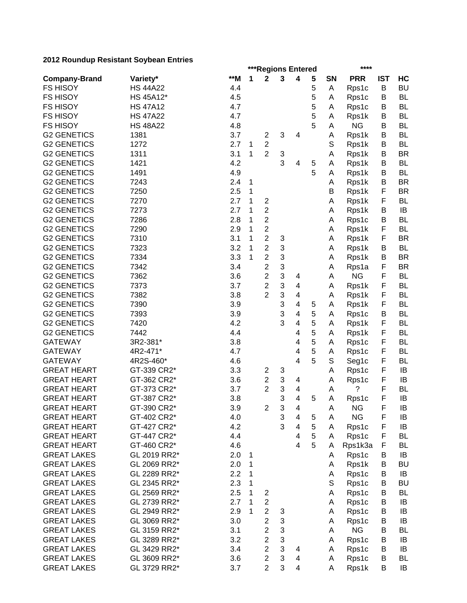|                      | ZUTZ KOUHUUP KESISTAHT OOYDEAH LIITIES |     |   | ***Regions Entered      |              |                         | **** |             |            |            |           |
|----------------------|----------------------------------------|-----|---|-------------------------|--------------|-------------------------|------|-------------|------------|------------|-----------|
| <b>Company-Brand</b> | Variety*                               | **M | 1 | $\mathbf 2$             | $\mathbf{3}$ | 4                       | 5    | <b>SN</b>   | <b>PRR</b> | <b>IST</b> | HC        |
| <b>FS HISOY</b>      | <b>HS 44A22</b>                        | 4.4 |   |                         |              |                         | 5    | Α           | Rps1c      | B          | <b>BU</b> |
| <b>FS HISOY</b>      | HS 45A12*                              | 4.5 |   |                         |              |                         | 5    | Α           | Rps1c      | B          | <b>BL</b> |
| <b>FS HISOY</b>      | <b>HS 47A12</b>                        | 4.7 |   |                         |              |                         | 5    | Α           | Rps1c      | B          | <b>BL</b> |
| <b>FS HISOY</b>      | <b>HS 47A22</b>                        | 4.7 |   |                         |              |                         | 5    | Α           | Rps1k      | B          | <b>BL</b> |
| <b>FS HISOY</b>      | <b>HS 48A22</b>                        | 4.8 |   |                         |              |                         | 5    | Α           | <b>NG</b>  | B          | <b>BL</b> |
| <b>G2 GENETICS</b>   | 1381                                   | 3.7 |   | $\overline{c}$          | 3            | 4                       |      | Α           | Rps1k      | B          | <b>BL</b> |
| <b>G2 GENETICS</b>   | 1272                                   | 2.7 | 1 | $\overline{c}$          |              |                         |      | $\mathbb S$ | Rps1k      | B          | <b>BL</b> |
| <b>G2 GENETICS</b>   | 1311                                   | 3.1 | 1 | $\overline{2}$          | 3            |                         |      | Α           | Rps1k      | B          | <b>BR</b> |
| <b>G2 GENETICS</b>   | 1421                                   | 4.2 |   |                         | 3            | 4                       | 5    | A           | Rps1k      | B          | <b>BL</b> |
| <b>G2 GENETICS</b>   | 1491                                   | 4.9 |   |                         |              |                         | 5    | A           | Rps1k      | B          | <b>BL</b> |
| <b>G2 GENETICS</b>   | 7243                                   | 2.4 | 1 |                         |              |                         |      | Α           | Rps1k      | B          | <b>BR</b> |
| <b>G2 GENETICS</b>   | 7250                                   | 2.5 | 1 |                         |              |                         |      | B           | Rps1k      | F          | <b>BR</b> |
| <b>G2 GENETICS</b>   | 7270                                   | 2.7 | 1 | 2                       |              |                         |      | Α           | Rps1k      | F          | <b>BL</b> |
| <b>G2 GENETICS</b>   | 7273                                   | 2.7 | 1 | $\overline{c}$          |              |                         |      | Α           | Rps1k      | B          | IB        |
| <b>G2 GENETICS</b>   | 7286                                   | 2.8 | 1 | $\overline{2}$          |              |                         |      | Α           | Rps1c      | B          | <b>BL</b> |
| <b>G2 GENETICS</b>   | 7290                                   | 2.9 | 1 | $\overline{2}$          |              |                         |      | Α           | Rps1k      | F          | <b>BL</b> |
| <b>G2 GENETICS</b>   | 7310                                   | 3.1 | 1 | $\overline{2}$          | 3            |                         |      | Α           | Rps1k      | F          | <b>BR</b> |
| <b>G2 GENETICS</b>   | 7323                                   | 3.2 | 1 | $\overline{2}$          | 3            |                         |      | Α           | Rps1k      | B          | <b>BL</b> |
| <b>G2 GENETICS</b>   | 7334                                   | 3.3 | 1 | $\overline{2}$          | 3            |                         |      | Α           | Rps1k      | B          | <b>BR</b> |
| <b>G2 GENETICS</b>   | 7342                                   | 3.4 |   | $\overline{2}$          | 3            |                         |      | Α           | Rps1a      | F          | <b>BR</b> |
| <b>G2 GENETICS</b>   | 7362                                   | 3.6 |   | $\overline{2}$          | 3            | 4                       |      | A           | <b>NG</b>  | F          | <b>BL</b> |
| <b>G2 GENETICS</b>   | 7373                                   | 3.7 |   | $\overline{2}$          | 3            | 4                       |      | Α           | Rps1k      | F          | <b>BL</b> |
| <b>G2 GENETICS</b>   | 7382                                   | 3.8 |   | $\overline{2}$          | 3            | 4                       |      | Α           | Rps1k      | F          | <b>BL</b> |
| <b>G2 GENETICS</b>   | 7390                                   | 3.9 |   |                         | 3            | 4                       | 5    | A           | Rps1k      | F          | BL        |
| <b>G2 GENETICS</b>   | 7393                                   | 3.9 |   |                         | 3            | 4                       | 5    | A           | Rps1c      | В          | BL        |
| <b>G2 GENETICS</b>   | 7420                                   | 4.2 |   |                         | 3            | 4                       | 5    | A           | Rps1k      | F          | BL        |
| <b>G2 GENETICS</b>   | 7442                                   | 4.4 |   |                         |              | 4                       | 5    | A           | Rps1k      | F          | BL        |
| <b>GATEWAY</b>       | 3R2-381*                               | 3.8 |   |                         |              | 4                       | 5    | A           | Rps1c      | F          | BL        |
| <b>GATEWAY</b>       | 4R2-471*                               | 4.7 |   |                         |              | 4                       | 5    | A           | Rps1c      | F          | <b>BL</b> |
| <b>GATEWAY</b>       | 4R2S-460*                              | 4.6 |   |                         |              | 4                       | 5    | S           | Seg1c      | F          | <b>BL</b> |
| <b>GREAT HEART</b>   | GT-339 CR2*                            | 3.3 |   | 2                       | 3            |                         |      | Α           | Rps1c      | F          | IB        |
| <b>GREAT HEART</b>   | GT-362 CR2*                            | 3.6 |   | $\overline{c}$          | 3            | 4                       |      | Α           | Rps1c      | F          | IB        |
| <b>GREAT HEART</b>   | GT-373 CR2*                            | 3.7 |   | $\overline{2}$          | 3            | 4                       |      | Α           | ?          | F          | <b>BL</b> |
| <b>GREAT HEART</b>   | GT-387 CR2*                            | 3.8 |   |                         | 3            | 4                       | 5    | Α           | Rps1c      | F          | IB        |
| <b>GREAT HEART</b>   | GT-390 CR2*                            | 3.9 |   | $\overline{2}$          | 3            | 4                       |      | Α           | <b>NG</b>  | F          | IB        |
| <b>GREAT HEART</b>   | GT-402 CR2*                            | 4.0 |   |                         | 3            | 4                       | 5    | Α           | <b>NG</b>  | F          | IB        |
| <b>GREAT HEART</b>   | GT-427 CR2*                            | 4.2 |   |                         | 3            | $\overline{\mathbf{4}}$ | 5    | Α           | Rps1c      | F          | IB        |
| <b>GREAT HEART</b>   | GT-447 CR2*                            | 4.4 |   |                         |              | 4                       | 5    | A           | Rps1c      | F          | <b>BL</b> |
| <b>GREAT HEART</b>   | GT-460 CR2*                            | 4.6 |   |                         |              | $\overline{4}$          | 5    | Α           | Rps1k3a    | F          | BL        |
| <b>GREAT LAKES</b>   | GL 2019 RR2*                           | 2.0 | 1 |                         |              |                         |      | A           | Rps1c      | В          | IB        |
| <b>GREAT LAKES</b>   | GL 2069 RR2*                           | 2.0 | 1 |                         |              |                         |      | A           | Rps1k      | В          | <b>BU</b> |
| <b>GREAT LAKES</b>   | GL 2289 RR2*                           | 2.2 | 1 |                         |              |                         |      | A           | Rps1c      | В          | IB        |
| <b>GREAT LAKES</b>   | GL 2345 RR2*                           | 2.3 | 1 |                         |              |                         |      | S           | Rps1c      | В          | <b>BU</b> |
| <b>GREAT LAKES</b>   | GL 2569 RR2*                           | 2.5 | 1 | $\overline{\mathbf{c}}$ |              |                         |      | Α           | Rps1c      | В          | <b>BL</b> |
| <b>GREAT LAKES</b>   | GL 2739 RR2*                           | 2.7 | 1 | $\overline{\mathbf{c}}$ |              |                         |      | A           | Rps1c      | B          | IB        |
| <b>GREAT LAKES</b>   | GL 2949 RR2*                           | 2.9 | 1 | $\overline{2}$          | 3            |                         |      | Α           | Rps1c      | B          | IB        |
| <b>GREAT LAKES</b>   | GL 3069 RR2*                           | 3.0 |   | $\overline{c}$          | 3            |                         |      | Α           | Rps1c      | B          | IB        |
| <b>GREAT LAKES</b>   | GL 3159 RR2*                           | 3.1 |   | $\overline{c}$          | 3            |                         |      | Α           | <b>NG</b>  | B          | <b>BL</b> |
| <b>GREAT LAKES</b>   | GL 3289 RR2*                           | 3.2 |   | $\overline{c}$          | 3            |                         |      | Α           | Rps1c      | B          | IB        |
| <b>GREAT LAKES</b>   | GL 3429 RR2*                           | 3.4 |   | $\overline{c}$          | 3            | 4                       |      | A           | Rps1c      | B          | IB        |
| <b>GREAT LAKES</b>   | GL 3609 RR2*                           | 3.6 |   | $\overline{c}$          | 3            | 4                       |      | A           | Rps1c      | B          | <b>BL</b> |
| <b>GREAT LAKES</b>   | GL 3729 RR2*                           | 3.7 |   | $\overline{2}$          | 3            | $\overline{\mathbf{4}}$ |      | Α           | Rps1k      | B          | IB        |
|                      |                                        |     |   |                         |              |                         |      |             |            |            |           |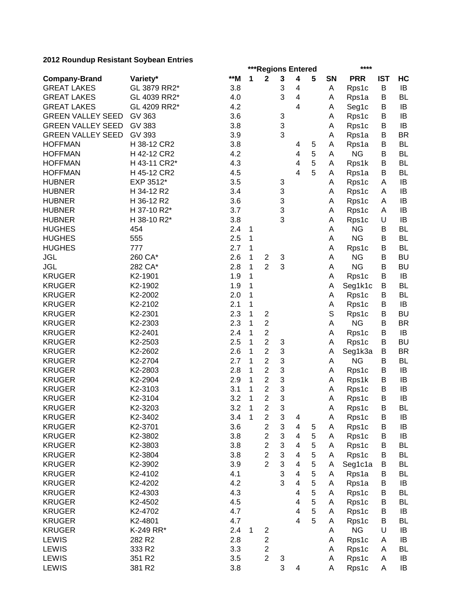|                          |              |     | **** |                         |             |                              |   |           |                  |            |           |
|--------------------------|--------------|-----|------|-------------------------|-------------|------------------------------|---|-----------|------------------|------------|-----------|
| <b>Company-Brand</b>     | Variety*     | **M | 1    | $\mathbf 2$             | $\mathbf 3$ | 4                            | 5 | <b>SN</b> | <b>PRR</b>       | <b>IST</b> | HC        |
| <b>GREAT LAKES</b>       | GL 3879 RR2* | 3.8 |      |                         | 3           | 4                            |   | Α         | Rps1c            | B          | IB        |
| <b>GREAT LAKES</b>       | GL 4039 RR2* | 4.0 |      |                         | 3           | $\overline{\mathbf{4}}$      |   | Α         | Rps1a            | B          | <b>BL</b> |
| <b>GREAT LAKES</b>       | GL 4209 RR2* | 4.2 |      |                         |             | 4                            |   | Α         | Seg1c            | B          | IB        |
| <b>GREEN VALLEY SEED</b> | GV 363       | 3.6 |      |                         | 3           |                              |   | Α         | Rps1c            | B          | IB        |
| <b>GREEN VALLEY SEED</b> | GV 383       | 3.8 |      |                         | 3           |                              |   | Α         | Rps1c            | B          | IB        |
| <b>GREEN VALLEY SEED</b> | GV 393       | 3.9 |      |                         | 3           |                              |   | Α         | Rps1a            | B          | <b>BR</b> |
| <b>HOFFMAN</b>           | H 38-12 CR2  | 3.8 |      |                         |             | 4                            | 5 | Α         | Rps1a            | B          | <b>BL</b> |
| <b>HOFFMAN</b>           | H 42-12 CR2  | 4.2 |      |                         |             | 4                            | 5 | A         | <b>NG</b>        | B          | <b>BL</b> |
| <b>HOFFMAN</b>           | H 43-11 CR2* | 4.3 |      |                         |             | $\overline{\mathbf{4}}$      | 5 | Α         | Rps1k            | B          | BL        |
| <b>HOFFMAN</b>           | H 45-12 CR2  | 4.5 |      |                         |             | $\overline{4}$               | 5 | Α         | Rps1a            | B          | BL        |
| <b>HUBNER</b>            | EXP 3512*    | 3.5 |      |                         | 3           |                              |   | Α         | Rps1c            | A          | IB        |
| <b>HUBNER</b>            | H 34-12 R2   | 3.4 |      |                         | 3           |                              |   | Α         | Rps1c            | A          | IB        |
| <b>HUBNER</b>            | H 36-12 R2   | 3.6 |      |                         | 3           |                              |   | Α         | Rps1c            | A          | IB        |
| <b>HUBNER</b>            | H 37-10 R2*  | 3.7 |      |                         | 3           |                              |   | Α         | Rps1c            | A          | IB        |
| <b>HUBNER</b>            | H 38-10 R2*  | 3.8 |      |                         | 3           |                              |   | Α         | Rps1c            | U          | IB        |
| <b>HUGHES</b>            | 454          | 2.4 | 1    |                         |             |                              |   | Α         | <b>NG</b>        | В          | BL        |
| <b>HUGHES</b>            | 555          | 2.5 | 1    |                         |             |                              |   | Α         | <b>NG</b>        | В          | BL        |
| <b>HUGHES</b>            | 777          | 2.7 | 1    |                         |             |                              |   | Α         | Rps1c            | В          | <b>BL</b> |
| <b>JGL</b>               | 260 CA*      | 2.6 | 1    | $\overline{c}$          | 3           |                              |   | Α         | <b>NG</b>        | В          | <b>BU</b> |
| <b>JGL</b>               | 282 CA*      | 2.8 | 1    | $\overline{2}$          | 3           |                              |   | A         | <b>NG</b>        | B          | <b>BU</b> |
| <b>KRUGER</b>            | K2-1901      | 1.9 | 1    |                         |             |                              |   | Α         | Rps1c            | B          | IB        |
| <b>KRUGER</b>            | K2-1902      | 1.9 | 1    |                         |             |                              |   | Α         | Seg1k1c          | B          | <b>BL</b> |
| <b>KRUGER</b>            | K2-2002      | 2.0 | 1    |                         |             |                              |   | Α         | Rps1c            | B          | <b>BL</b> |
| <b>KRUGER</b>            | K2-2102      | 2.1 | 1    |                         |             |                              |   | Α         | Rps1c            | B          | IB        |
| <b>KRUGER</b>            | K2-2301      | 2.3 | 1    | $\mathbf 2$             |             |                              |   | S         | Rps1c            | B          | <b>BU</b> |
| <b>KRUGER</b>            | K2-2303      | 2.3 | 1    | $\overline{2}$          |             |                              |   | Α         | <b>NG</b>        | B          | <b>BR</b> |
| <b>KRUGER</b>            | K2-2401      | 2.4 | 1    | $\overline{c}$          |             |                              |   | Α         | Rps1c            | B          | IB        |
| <b>KRUGER</b>            | K2-2503      | 2.5 | 1    | $\overline{2}$          | 3           |                              |   | Α         | Rps1c            | B          | <b>BU</b> |
| <b>KRUGER</b>            | K2-2602      | 2.6 | 1    | $\overline{2}$          | 3           |                              |   | Α         | Seg1k3a          | B          | <b>BR</b> |
| <b>KRUGER</b>            | K2-2704      | 2.7 | 1    | $\overline{2}$          | 3           |                              |   | Α         | <b>NG</b>        | B          | <b>BL</b> |
| <b>KRUGER</b>            | K2-2803      | 2.8 | 1    | $\overline{2}$          | 3           |                              |   | Α         | Rps1c            | B          | IB        |
| <b>KRUGER</b>            | K2-2904      | 2.9 | 1    | $\overline{2}$          | 3           |                              |   | Α         | Rps1k            | B          | IB        |
| <b>KRUGER</b>            | K2-3103      | 3.1 | 1    | $\overline{2}$          | 3           |                              |   | Α         | Rps1c            | B          | IB        |
| <b>KRUGER</b>            | K2-3104      | 3.2 | 1    | $\overline{2}$          | 3           |                              |   | Α         | Rps1c            | B          | IB        |
| <b>KRUGER</b>            | K2-3203      | 3.2 | 1    | 2                       | 3           |                              |   | Α         |                  | B          | BL        |
| <b>KRUGER</b>            | K2-3402      | 3.4 | 1    | $\overline{\mathbf{c}}$ | 3           |                              |   | Α         | Rps1c<br>Rps1c   | B          | IB        |
| <b>KRUGER</b>            | K2-3701      | 3.6 |      | $\overline{c}$          | 3           | 4<br>4                       | 5 | Α         | Rps1c            | B          | IB        |
| <b>KRUGER</b>            | K2-3802      | 3.8 |      | $\overline{c}$          | 3           | $\overline{\mathbf{4}}$      | 5 |           | Rps1c            | B          | IB        |
| <b>KRUGER</b>            | K2-3803      | 3.8 |      | $\overline{c}$          | 3           | 4                            | 5 | A<br>Α    |                  | B          | <b>BL</b> |
| <b>KRUGER</b>            | K2-3804      | 3.8 |      | $\overline{2}$          | 3           | $\overline{\mathbf{4}}$      | 5 |           | Rps1c            | B          | <b>BL</b> |
| <b>KRUGER</b>            | K2-3902      | 3.9 |      | $\overline{2}$          | 3           | $\overline{\mathbf{4}}$      | 5 | Α         | Rps1c<br>Seg1c1a | B          | <b>BL</b> |
| <b>KRUGER</b>            | K2-4102      | 4.1 |      |                         | 3           | $\overline{\mathbf{4}}$      | 5 | Α         |                  | B          | BL        |
| <b>KRUGER</b>            | K2-4202      | 4.2 |      |                         | 3           | $\overline{\mathbf{4}}$      | 5 | Α         | Rps1a            |            |           |
|                          |              |     |      |                         |             |                              | 5 | Α         | Rps1a            | B          | IB        |
| <b>KRUGER</b>            | K2-4303      | 4.3 |      |                         |             | $\overline{\mathbf{4}}$      | 5 | A         | Rps1c            | B<br>B     | <b>BL</b> |
| <b>KRUGER</b>            | K2-4502      | 4.5 |      |                         |             | 4<br>$\overline{\mathbf{4}}$ | 5 | Α         | Rps1c            |            | <b>BL</b> |
| <b>KRUGER</b>            | K2-4702      | 4.7 |      |                         |             |                              |   | Α         | Rps1c            | B          | IB        |
| <b>KRUGER</b>            | K2-4801      | 4.7 |      |                         |             | $\overline{\mathbf{4}}$      | 5 | Α         | Rps1c            | В          | <b>BL</b> |
| <b>KRUGER</b>            | K-249 RR*    | 2.4 | 1    | $\overline{\mathbf{c}}$ |             |                              |   | Α         | <b>NG</b>        | U          | IB        |
| <b>LEWIS</b>             | 282 R2       | 2.8 |      | $\overline{c}$          |             |                              |   | Α         | Rps1c            | Α          | IB        |
| <b>LEWIS</b>             | 333 R2       | 3.3 |      | $\overline{\mathbf{c}}$ |             |                              |   | Α         | Rps1c            | Α          | BL        |
| <b>LEWIS</b>             | 351 R2       | 3.5 |      | $\overline{2}$          | 3           |                              |   | Α         | Rps1c            | Α          | IB        |
| LEWIS                    | 381 R2       | 3.8 |      |                         | 3           | 4                            |   | Α         | Rps1c            | A          | IB        |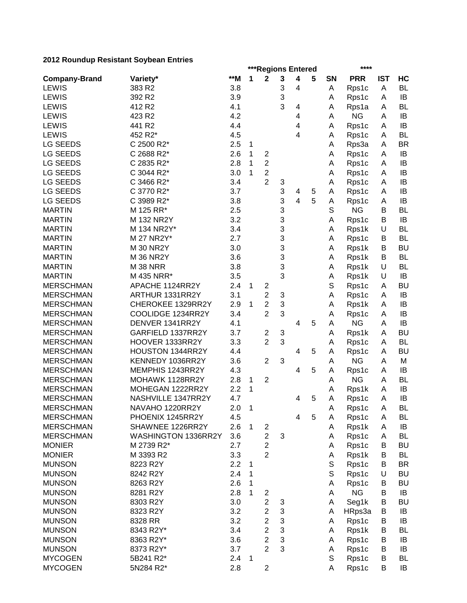|                      |                     |       | ***Regions Entered<br>**** |                         |   |                |   |             |            |            |           |  |
|----------------------|---------------------|-------|----------------------------|-------------------------|---|----------------|---|-------------|------------|------------|-----------|--|
| <b>Company-Brand</b> | Variety*            | $**M$ | 1                          | 2                       | 3 | 4              | 5 | <b>SN</b>   | <b>PRR</b> | <b>IST</b> | HC        |  |
| LEWIS                | 383 R2              | 3.8   |                            |                         | 3 | 4              |   | Α           | Rps1c      | A          | <b>BL</b> |  |
| <b>LEWIS</b>         | 392 R <sub>2</sub>  | 3.9   |                            |                         | 3 |                |   | Α           | Rps1c      | A          | IB        |  |
| <b>LEWIS</b>         | 412 R <sub>2</sub>  | 4.1   |                            |                         | 3 | 4              |   | Α           | Rps1a      | A          | <b>BL</b> |  |
| <b>LEWIS</b>         | 423 R2              | 4.2   |                            |                         |   | 4              |   | Α           | <b>NG</b>  | A          | IB        |  |
| <b>LEWIS</b>         | 441 R2              | 4.4   |                            |                         |   | 4              |   | Α           | Rps1c      | A          | IB        |  |
| <b>LEWIS</b>         | 452 R2*             | 4.5   |                            |                         |   | 4              |   | Α           | Rps1c      | A          | <b>BL</b> |  |
| <b>LG SEEDS</b>      | C 2500 R2*          | 2.5   | 1                          |                         |   |                |   | Α           | Rps3a      | A          | <b>BR</b> |  |
| LG SEEDS             | C 2688 R2*          | 2.6   | 1                          | $\overline{c}$          |   |                |   | Α           | Rps1c      | Α          | IB        |  |
| LG SEEDS             | C 2835 R2*          | 2.8   | 1                          | $\overline{2}$          |   |                |   | Α           | Rps1c      | Α          | IB        |  |
| LG SEEDS             | C 3044 R2*          | 3.0   | 1                          | $\overline{2}$          |   |                |   | Α           | Rps1c      | A          | IB        |  |
| LG SEEDS             | C 3466 R2*          | 3.4   |                            | $\overline{2}$          | 3 |                |   | Α           | Rps1c      | A          | IB        |  |
| LG SEEDS             | C 3770 R2*          | 3.7   |                            |                         | 3 | 4              | 5 | Α           | Rps1c      | Α          | IB        |  |
| LG SEEDS             | C 3989 R2*          | 3.8   |                            |                         | 3 | $\overline{4}$ | 5 | Α           | Rps1c      | Α          | IB        |  |
| <b>MARTIN</b>        | M 125 RR*           | 2.5   |                            |                         | 3 |                |   | S           | <b>NG</b>  | В          | BL        |  |
| <b>MARTIN</b>        | M 132 NR2Y          | 3.2   |                            |                         | 3 |                |   | A           | Rps1c      | В          | IB        |  |
| <b>MARTIN</b>        | M 134 NR2Y*         | 3.4   |                            |                         | 3 |                |   | Α           | Rps1k      | U          | <b>BL</b> |  |
| <b>MARTIN</b>        | M 27 NR2Y*          | 2.7   |                            |                         | 3 |                |   | Α           | Rps1c      | В          | <b>BL</b> |  |
| <b>MARTIN</b>        | M 30 NR2Y           | 3.0   |                            |                         | 3 |                |   | Α           | Rps1k      | B          | <b>BU</b> |  |
| <b>MARTIN</b>        | <b>M 36 NR2Y</b>    | 3.6   |                            |                         | 3 |                |   | Α           | Rps1k      | B          | <b>BL</b> |  |
| <b>MARTIN</b>        | <b>M 38 NRR</b>     | 3.8   |                            |                         | 3 |                |   | Α           | Rps1k      | U          | <b>BL</b> |  |
| <b>MARTIN</b>        | M 435 NRR*          | 3.5   |                            |                         | 3 |                |   | Α           | Rps1k      | U          | IB        |  |
| <b>MERSCHMAN</b>     | APACHE 1124RR2Y     | 2.4   | 1                          | $\overline{c}$          |   |                |   | S           | Rps1c      | A          | <b>BU</b> |  |
| <b>MERSCHMAN</b>     | ARTHUR 1331RR2Y     | 3.1   |                            | $\overline{c}$          | 3 |                |   | Α           | Rps1c      | Α          | IB        |  |
| <b>MERSCHMAN</b>     | CHEROKEE 1329RR2Y   | 2.9   | 1                          | $\overline{2}$          | 3 |                |   | Α           | Rps1k      | Α          | IB        |  |
| <b>MERSCHMAN</b>     | COOLIDGE 1234RR2Y   | 3.4   |                            | $\overline{2}$          | 3 |                |   | Α           | Rps1c      | A          | IB        |  |
| <b>MERSCHMAN</b>     | DENVER 1341RR2Y     | 4.1   |                            |                         |   | 4              | 5 | Α           | <b>NG</b>  | Α          | IB        |  |
| <b>MERSCHMAN</b>     | GARFIELD 1337RR2Y   | 3.7   |                            | $\overline{c}$          | 3 |                |   | Α           | Rps1k      | A          | <b>BU</b> |  |
| <b>MERSCHMAN</b>     | HOOVER 1333RR2Y     | 3.3   |                            | $\overline{2}$          | 3 |                |   | Α           | Rps1c      | Α          | <b>BL</b> |  |
| <b>MERSCHMAN</b>     | HOUSTON 1344RR2Y    | 4.4   |                            |                         |   | 4              | 5 | Α           | Rps1c      | Α          | <b>BU</b> |  |
| <b>MERSCHMAN</b>     | KENNEDY 1036RR2Y    | 3.6   |                            | $\overline{2}$          | 3 |                |   | Α           | <b>NG</b>  | A          | M         |  |
| <b>MERSCHMAN</b>     | MEMPHIS 1243RR2Y    | 4.3   |                            |                         |   | 4              | 5 | Α           | Rps1c      | A          | IB        |  |
| <b>MERSCHMAN</b>     | MOHAWK 1128RR2Y     | 2.8   | 1                          | $\overline{2}$          |   |                |   | Α           | <b>NG</b>  | A          | <b>BL</b> |  |
| <b>MERSCHMAN</b>     | MOHEGAN 1222RR2Y    | 2.2   | 1                          |                         |   |                |   | Α           | Rps1k      | A          | IB        |  |
| <b>MERSCHMAN</b>     | NASHVILLE 1347RR2Y  | 4.7   |                            |                         |   | 4              | 5 | Α           | Rps1c      | A          | IB        |  |
| <b>MERSCHMAN</b>     | NAVAHO 1220RR2Y     | 2.0   | 1                          |                         |   |                |   | Α           | Rps1c      | A          | BL        |  |
| <b>MERSCHMAN</b>     | PHOENIX 1245RR2Y    | 4.5   |                            |                         |   | 4              | 5 | Α           | Rps1c      | A          | BL        |  |
| <b>MERSCHMAN</b>     | SHAWNEE 1226RR2Y    | 2.6   | $\mathbf{1}$               | $\overline{\mathbf{c}}$ |   |                |   | Α           | Rps1k      | Α          | IB        |  |
| <b>MERSCHMAN</b>     | WASHINGTON 1336RR2Y | 3.6   |                            | $\overline{c}$          | 3 |                |   | A           | Rps1c      | Α          | <b>BL</b> |  |
| <b>MONIER</b>        | M 2739 R2*          | 2.7   |                            | $\overline{2}$          |   |                |   | Α           | Rps1c      | B          | <b>BU</b> |  |
| <b>MONIER</b>        | M 3393 R2           | 3.3   |                            | $\overline{2}$          |   |                |   | Α           | Rps1k      | B          | <b>BL</b> |  |
| <b>MUNSON</b>        | 8223 R2Y            | 2.2   | 1                          |                         |   |                |   | S           | Rps1c      | B          | <b>BR</b> |  |
| <b>MUNSON</b>        | 8242 R2Y            | 2.4   | 1                          |                         |   |                |   | $\mathbb S$ | Rps1c      | U          | <b>BU</b> |  |
| <b>MUNSON</b>        | 8263 R2Y            | 2.6   | 1                          |                         |   |                |   | Α           | Rps1c      | B          | <b>BU</b> |  |
| <b>MUNSON</b>        | 8281 R2Y            | 2.8   | 1                          | 2                       |   |                |   | Α           | <b>NG</b>  | B          | IB        |  |
| <b>MUNSON</b>        | 8303 R2Y            | 3.0   |                            | $\overline{2}$          | 3 |                |   | Α           | Seg1k      | В          | <b>BU</b> |  |
| <b>MUNSON</b>        | 8323 R2Y            | 3.2   |                            | $\overline{2}$          | 3 |                |   | Α           | HRps3a     | В          | IB        |  |
| <b>MUNSON</b>        | 8328 RR             | 3.2   |                            | $\overline{2}$          | 3 |                |   | Α           | Rps1c      | В          | IB        |  |
| <b>MUNSON</b>        | 8343 R2Y*           | 3.4   |                            | $\overline{2}$          | 3 |                |   | Α           | Rps1k      | B          | <b>BL</b> |  |
| <b>MUNSON</b>        | 8363 R2Y*           | 3.6   |                            | $\overline{2}$          | 3 |                |   | Α           | Rps1c      | В          | IB        |  |
| <b>MUNSON</b>        | 8373 R2Y*           | 3.7   |                            | $\overline{2}$          | 3 |                |   | Α           | Rps1c      | B          | IB        |  |
| <b>MYCOGEN</b>       | 5B241 R2*           | 2.4   | 1                          |                         |   |                |   | S           | Rps1c      | B          | <b>BL</b> |  |
| <b>MYCOGEN</b>       | 5N284 R2*           | 2.8   |                            | $\overline{c}$          |   |                |   | Α           | Rps1c      | B          | IB        |  |
|                      |                     |       |                            |                         |   |                |   |             |            |            |           |  |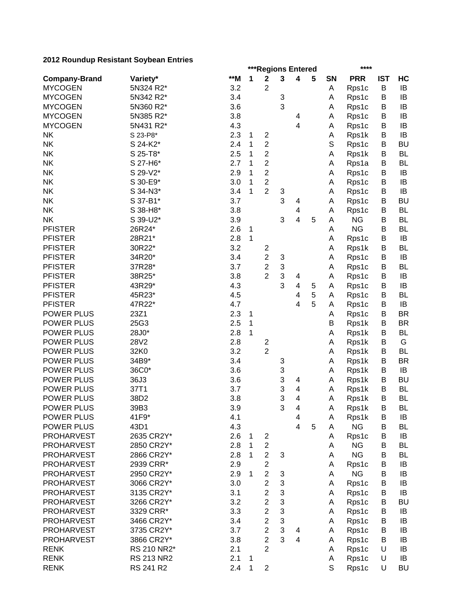|                                 | ZUTZ KOUHUUP KESISTAHT OOYDEAH LIITIES |     |             | ***Regions Entered                        |                           |                | **** |             |            |            |           |
|---------------------------------|----------------------------------------|-----|-------------|-------------------------------------------|---------------------------|----------------|------|-------------|------------|------------|-----------|
| <b>Company-Brand</b>            | Variety*                               | **M | 1           | $\mathbf 2$                               | 3                         | 4              | 5    | <b>SN</b>   | <b>PRR</b> | <b>IST</b> | HC        |
| <b>MYCOGEN</b>                  | 5N324 R2*                              | 3.2 |             | $\overline{2}$                            |                           |                |      | Α           | Rps1c      | B          | IB        |
| <b>MYCOGEN</b>                  | 5N342 R2*                              | 3.4 |             |                                           | 3                         |                |      | Α           | Rps1c      | B          | IB        |
| <b>MYCOGEN</b>                  | 5N360 R2*                              | 3.6 |             |                                           | 3                         |                |      | Α           | Rps1c      | B          | IB        |
| <b>MYCOGEN</b>                  | 5N385 R2*                              | 3.8 |             |                                           |                           | 4              |      | Α           | Rps1c      | B          | IB        |
| <b>MYCOGEN</b>                  | 5N431 R2*                              | 4.3 |             |                                           |                           | 4              |      | Α           | Rps1c      | B          | IB        |
| <b>NK</b>                       | S 23-P8*                               | 2.3 | 1           | $\boldsymbol{2}$                          |                           |                |      | Α           | Rps1k      | B          | IB        |
| <b>NK</b>                       | S 24-K2*                               | 2.4 | 1           | $\overline{2}$                            |                           |                |      | $\mathbb S$ | Rps1c      | B          | <b>BU</b> |
| <b>NK</b>                       | S 25-T8*                               | 2.5 | 1           | $\overline{2}$                            |                           |                |      | Α           | Rps1k      | B          | <b>BL</b> |
| <b>NK</b>                       | S 27-H6*                               | 2.7 | 1           | $\overline{c}$                            |                           |                |      | Α           | Rps1a      | B          | <b>BL</b> |
| <b>NK</b>                       | S 29-V2*                               | 2.9 | 1           | $\overline{2}$                            |                           |                |      | Α           | Rps1c      | B          | IB        |
| <b>NK</b>                       | S 30-E9*                               | 3.0 | 1           | $\overline{2}$                            |                           |                |      | Α           | Rps1c      | B          | IB        |
| <b>NK</b>                       | S 34-N3*                               | 3.4 | 1           | $\overline{2}$                            | 3                         |                |      | Α           | Rps1c      | B          | IB        |
| <b>NK</b>                       | S 37-B1*                               | 3.7 |             |                                           | 3                         | 4              |      | Α           | Rps1c      | B          | <b>BU</b> |
| <b>NK</b>                       | S 38-H8*                               | 3.8 |             |                                           |                           | 4              |      | Α           | Rps1c      | B          | <b>BL</b> |
| <b>NK</b>                       | S 39-U2*                               | 3.9 |             |                                           | 3                         | 4              | 5    | А           | <b>NG</b>  | B          | <b>BL</b> |
| <b>PFISTER</b>                  | 26R24*                                 | 2.6 | $\mathbf 1$ |                                           |                           |                |      | Α           | <b>NG</b>  | B          | <b>BL</b> |
| <b>PFISTER</b>                  | 28R21*                                 | 2.8 | 1           |                                           |                           |                |      | Α           | Rps1c      | B          | IB        |
| <b>PFISTER</b>                  | 30R22*                                 | 3.2 |             | $\overline{\mathbf{c}}$                   |                           |                |      | Α           | Rps1k      | B          | <b>BL</b> |
| <b>PFISTER</b>                  | 34R20*                                 | 3.4 |             | $\overline{c}$                            | 3                         |                |      | Α           | Rps1c      | B          | IB        |
| <b>PFISTER</b>                  | 37R28*                                 | 3.7 |             | $\overline{c}$                            | $\ensuremath{\mathsf{3}}$ |                |      | Α           | Rps1c      | B          | <b>BL</b> |
| <b>PFISTER</b>                  | 38R25*                                 | 3.8 |             | $\overline{2}$                            | 3                         | 4              |      | Α           | Rps1c      | B          | IB        |
| <b>PFISTER</b>                  | 43R29*                                 | 4.3 |             |                                           | 3                         | 4              | 5    | Α           | Rps1c      | B          | IB        |
| <b>PFISTER</b>                  | 45R23*                                 | 4.5 |             |                                           |                           | 4              | 5    | Α           | Rps1c      | B          | BL        |
| <b>PFISTER</b>                  | 47R22*                                 | 4.7 |             |                                           |                           | 4              | 5    | Α           | Rps1c      | B          | IB        |
| <b>POWER PLUS</b>               | 23Z1                                   | 2.3 | 1           |                                           |                           |                |      | A           | Rps1c      | B          | <b>BR</b> |
| <b>POWER PLUS</b>               | 25G3                                   | 2.5 | 1           |                                           |                           |                |      | B           | Rps1k      | B          | <b>BR</b> |
| <b>POWER PLUS</b>               | 28J0*                                  | 2.8 | 1           |                                           |                           |                |      | A           |            | B          | <b>BL</b> |
| POWER PLUS                      | 28V2                                   | 2.8 |             |                                           |                           |                |      |             | Rps1k      |            | G         |
| POWER PLUS                      | 32K0                                   | 3.2 |             | $\overline{\mathbf{c}}$<br>$\overline{c}$ |                           |                |      | Α           | Rps1k      | В<br>B     | BL        |
| POWER PLUS                      | 34B9*                                  | 3.4 |             |                                           |                           |                |      | Α           | Rps1k      | B          | <b>BR</b> |
|                                 |                                        |     |             |                                           | 3                         |                |      | Α           | Rps1k      | B          | IB        |
| POWER PLUS<br><b>POWER PLUS</b> | 36C0*                                  | 3.6 |             |                                           | 3                         |                |      | Α           | Rps1k      |            |           |
|                                 | 36J3                                   | 3.6 |             |                                           | 3                         | 4              |      | Α           | Rps1k      | B          | <b>BU</b> |
| <b>POWER PLUS</b>               | 37T1                                   | 3.7 |             |                                           | 3                         | 4              |      | Α           | Rps1k      | B          | <b>BL</b> |
| <b>POWER PLUS</b>               | 38D2                                   | 3.8 |             |                                           | 3                         | 4              |      | Α           | Rps1k      | B          | <b>BL</b> |
| POWER PLUS                      | 39B3                                   | 3.9 |             |                                           | 3                         | 4              |      | Α           | Rps1k      | В          | BL        |
| POWER PLUS                      | 41F9*                                  | 4.1 |             |                                           |                           | 4              |      | Α           | Rps1k      | B          | IB        |
| POWER PLUS                      | 43D1                                   | 4.3 |             |                                           |                           | $\overline{4}$ | 5    | Α           | <b>NG</b>  | B          | BL        |
| <b>PROHARVEST</b>               | 2635 CR2Y*                             | 2.6 | $\mathbf 1$ | $\overline{c}$                            |                           |                |      | Α           | Rps1c      | B          | IB        |
| <b>PROHARVEST</b>               | 2850 CR2Y*                             | 2.8 | 1           | $\overline{\mathbf{c}}$                   |                           |                |      | Α           | <b>NG</b>  | В          | BL        |
| <b>PROHARVEST</b>               | 2866 CR2Y*                             | 2.8 | 1           | $\overline{2}$                            | 3                         |                |      | Α           | <b>NG</b>  | В          | <b>BL</b> |
| <b>PROHARVEST</b>               | 2939 CRR*                              | 2.9 |             | $\overline{c}$                            |                           |                |      | Α           | Rps1c      | B          | IB        |
| <b>PROHARVEST</b>               | 2950 CR2Y*                             | 2.9 | 1           | $\overline{c}$                            | 3                         |                |      | Α           | <b>NG</b>  | В          | IB        |
| <b>PROHARVEST</b>               | 3066 CR2Y*                             | 3.0 |             | $\overline{2}$                            | 3                         |                |      | Α           | Rps1c      | В          | IB        |
| <b>PROHARVEST</b>               | 3135 CR2Y*                             | 3.1 |             | $\overline{c}$                            | 3                         |                |      | Α           | Rps1c      | В          | IB        |
| <b>PROHARVEST</b>               | 3266 CR2Y*                             | 3.2 |             | $\overline{c}$                            | 3                         |                |      | A           | Rps1c      | B          | <b>BU</b> |
| <b>PROHARVEST</b>               | 3329 CRR*                              | 3.3 |             | $\overline{2}$                            | 3                         |                |      | A           | Rps1c      | B          | IB        |
| <b>PROHARVEST</b>               | 3466 CR2Y*                             | 3.4 |             | $\overline{2}$                            | $\ensuremath{\mathsf{3}}$ |                |      | A           | Rps1c      | B          | IB        |
| <b>PROHARVEST</b>               | 3735 CR2Y*                             | 3.7 |             | $\overline{c}$                            | 3                         | 4              |      | A           | Rps1c      | B          | IB        |
| <b>PROHARVEST</b>               | 3866 CR2Y*                             | 3.8 |             | $\overline{2}$                            | 3                         | 4              |      | Α           | Rps1c      | B          | IB        |
| <b>RENK</b>                     | RS 210 NR2*                            | 2.1 |             | $\overline{2}$                            |                           |                |      | A           | Rps1c      | U          | IB        |
| <b>RENK</b>                     | <b>RS 213 NR2</b>                      | 2.1 | $\mathbf 1$ |                                           |                           |                |      | A           | Rps1c      | U          | IB        |
| <b>RENK</b>                     | RS 241 R2                              | 2.4 | $\mathbf 1$ | $\overline{c}$                            |                           |                |      | S           | Rps1c      | U          | <b>BU</b> |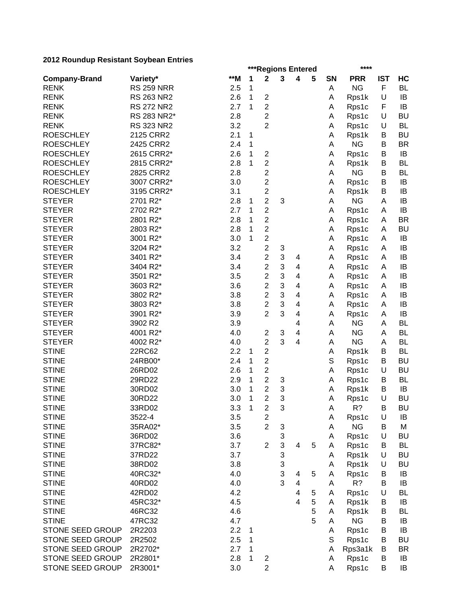| zu iz Kodnaap Resistant Obybean Enthes |                   |     |              | ***Regions Entered               |        |                         |   |             | ****       |            |           |  |  |
|----------------------------------------|-------------------|-----|--------------|----------------------------------|--------|-------------------------|---|-------------|------------|------------|-----------|--|--|
| <b>Company-Brand</b>                   | Variety*          | **M | 1            | $\mathbf 2$                      | 3      | 4                       | 5 | <b>SN</b>   | <b>PRR</b> | <b>IST</b> | HC        |  |  |
| <b>RENK</b>                            | <b>RS 259 NRR</b> | 2.5 | 1            |                                  |        |                         |   | Α           | <b>NG</b>  | F          | <b>BL</b> |  |  |
| <b>RENK</b>                            | RS 263 NR2        | 2.6 | 1            | $\overline{2}$                   |        |                         |   | Α           | Rps1k      | $\cup$     | IB        |  |  |
| <b>RENK</b>                            | <b>RS 272 NR2</b> | 2.7 | 1            | $\overline{2}$                   |        |                         |   | Α           | Rps1c      | F          | IB        |  |  |
| <b>RENK</b>                            | RS 283 NR2*       | 2.8 |              | 2                                |        |                         |   | Α           | Rps1c      | $\cup$     | <b>BU</b> |  |  |
| <b>RENK</b>                            | <b>RS 323 NR2</b> | 3.2 |              | $\overline{2}$                   |        |                         |   | Α           | Rps1c      | U          | <b>BL</b> |  |  |
| <b>ROESCHLEY</b>                       | 2125 CRR2         | 2.1 | 1            |                                  |        |                         |   | Α           | Rps1k      | B          | <b>BU</b> |  |  |
| <b>ROESCHLEY</b>                       | 2425 CRR2         | 2.4 | 1            |                                  |        |                         |   | Α           | <b>NG</b>  | B          | <b>BR</b> |  |  |
| <b>ROESCHLEY</b>                       | 2615 CRR2*        | 2.6 | 1            | $\overline{2}$                   |        |                         |   | Α           | Rps1c      | B          | IB        |  |  |
| <b>ROESCHLEY</b>                       | 2815 CRR2*        | 2.8 | 1            | $\overline{2}$                   |        |                         |   | Α           | Rps1k      | B          | <b>BL</b> |  |  |
| <b>ROESCHLEY</b>                       | 2825 CRR2         | 2.8 |              | $\overline{c}$                   |        |                         |   | A           | <b>NG</b>  | B          | <b>BL</b> |  |  |
| <b>ROESCHLEY</b>                       | 3007 CRR2*        | 3.0 |              | $\overline{2}$                   |        |                         |   | Α           | Rps1c      | B          | IB        |  |  |
| <b>ROESCHLEY</b>                       | 3195 CRR2*        | 3.1 |              | $\overline{c}$                   |        |                         |   | Α           | Rps1k      | B          | IB        |  |  |
| <b>STEYER</b>                          | 2701 R2*          | 2.8 | 1            | $\overline{c}$                   | 3      |                         |   | A           | <b>NG</b>  | A          | IB        |  |  |
| <b>STEYER</b>                          | 2702 R2*          | 2.7 | 1            | $\overline{2}$                   |        |                         |   | A           | Rps1c      | A          | IB        |  |  |
| <b>STEYER</b>                          | 2801 R2*          | 2.8 | 1            | $\overline{2}$                   |        |                         |   | Α           | Rps1c      | A          | <b>BR</b> |  |  |
| <b>STEYER</b>                          | 2803 R2*          | 2.8 | 1            | $\overline{c}$                   |        |                         |   | Α           | Rps1c      | A          | <b>BU</b> |  |  |
| <b>STEYER</b>                          | 3001 R2*          | 3.0 | 1            | $\overline{c}$                   |        |                         |   | Α           | Rps1c      | A          | IB        |  |  |
| <b>STEYER</b>                          | 3204 R2*          | 3.2 |              | $\overline{2}$                   | 3      |                         |   | Α           | Rps1c      | A          | IB        |  |  |
| <b>STEYER</b>                          | 3401 R2*          | 3.4 |              | $\overline{c}$                   | 3      | 4                       |   | Α           | Rps1c      | Α          | IB        |  |  |
| <b>STEYER</b>                          | 3404 R2*          | 3.4 |              | $\overline{2}$                   | 3      | 4                       |   | Α           | Rps1c      | A          | IB        |  |  |
| <b>STEYER</b>                          | 3501 R2*          | 3.5 |              | $\overline{c}$                   | 3      | 4                       |   |             | Rps1c      |            | IB        |  |  |
| <b>STEYER</b>                          | 3603 R2*          | 3.6 |              | $\overline{c}$                   | 3      | 4                       |   | Α           |            | A          | IB        |  |  |
| <b>STEYER</b>                          | 3802 R2*          | 3.8 |              | $\overline{2}$                   | 3      | 4                       |   | Α           | Rps1c      | A          | IB        |  |  |
| <b>STEYER</b>                          | 3803 R2*          | 3.8 |              | $\overline{2}$                   | 3      | $\overline{\mathbf{4}}$ |   | Α           | Rps1c      | A          | IB        |  |  |
| <b>STEYER</b>                          |                   | 3.9 |              | $\overline{2}$                   | 3      |                         |   | A           | Rps1c      | A          | IB        |  |  |
|                                        | 3901 R2*          |     |              |                                  |        | 4                       |   | Α           | Rps1c      | A          | <b>BL</b> |  |  |
| <b>STEYER</b>                          | 3902 R2           | 3.9 |              |                                  |        | 4                       |   | A           | <b>NG</b>  | A          |           |  |  |
| <b>STEYER</b>                          | 4001 R2*          | 4.0 |              | $\overline{2}$<br>$\overline{2}$ | 3<br>3 | 4                       |   | Α           | <b>NG</b>  | A          | BL        |  |  |
| <b>STEYER</b>                          | 4002 R2*          | 4.0 |              |                                  |        | $\overline{\mathbf{4}}$ |   | Α           | <b>NG</b>  | A          | BL        |  |  |
| <b>STINE</b>                           | 22RC62            | 2.2 | 1            | $\overline{c}$                   |        |                         |   | Α           | Rps1k      | B          | <b>BL</b> |  |  |
| <b>STINE</b>                           | 24RB00*           | 2.4 | 1            | $\mathbf 2$                      |        |                         |   | $\mathbb S$ | Rps1c      | B          | <b>BU</b> |  |  |
| <b>STINE</b>                           | 26RD02            | 2.6 | 1            | $\overline{c}$                   |        |                         |   | Α           | Rps1c      | U          | <b>BU</b> |  |  |
| <b>STINE</b>                           | 29RD22            | 2.9 | 1            | $\overline{2}$                   | 3      |                         |   | Α           | Rps1c      | B          | <b>BL</b> |  |  |
| <b>STINE</b>                           | 30RD02            | 3.0 | 1            | $\overline{2}$                   | 3      |                         |   | A           | Rps1k      | B          | IB        |  |  |
| <b>STINE</b>                           | 30RD22            | 3.0 | 1            | $\overline{2}$                   | 3      |                         |   | A           | Rps1c      | U          | <b>BU</b> |  |  |
| <b>STINE</b>                           | 33RD02            | 3.3 | $\mathbf{1}$ | $\overline{c}$                   | 3      |                         |   | А           | R?         | B          | <b>BU</b> |  |  |
| <b>STINE</b>                           | 3522-4            | 3.5 |              | $\boldsymbol{2}$                 |        |                         |   | Α           | Rps1c      | U          | IB        |  |  |
| <b>STINE</b>                           | 35RA02*           | 3.5 |              | $\overline{2}$                   | 3      |                         |   | Α           | <b>NG</b>  | B          | M         |  |  |
| <b>STINE</b>                           | 36RD02            | 3.6 |              |                                  | 3      |                         |   | Α           | Rps1c      | U          | <b>BU</b> |  |  |
| <b>STINE</b>                           | 37RC82*           | 3.7 |              | $\overline{2}$                   | 3      | 4                       | 5 | Α           | Rps1c      | B          | BL        |  |  |
| <b>STINE</b>                           | 37RD22            | 3.7 |              |                                  | 3      |                         |   | A           | Rps1k      | U          | <b>BU</b> |  |  |
| <b>STINE</b>                           | 38RD02            | 3.8 |              |                                  | 3      |                         |   | A           | Rps1k      | U          | <b>BU</b> |  |  |
| <b>STINE</b>                           | 40RC32*           | 4.0 |              |                                  | 3      | 4                       | 5 | A           | Rps1c      | B          | IB        |  |  |
| <b>STINE</b>                           | 40RD02            | 4.0 |              |                                  | 3      | $\overline{\mathbf{4}}$ |   | Α           | R?         | B          | IB        |  |  |
| <b>STINE</b>                           | 42RD02            | 4.2 |              |                                  |        | $\overline{4}$          | 5 | Α           | Rps1c      | U          | <b>BL</b> |  |  |
| <b>STINE</b>                           | 45RC32*           | 4.5 |              |                                  |        | 4                       | 5 | A           | Rps1k      | B          | IB        |  |  |
| <b>STINE</b>                           | 46RC32            | 4.6 |              |                                  |        |                         | 5 | Α           | Rps1k      | B          | <b>BL</b> |  |  |
| <b>STINE</b>                           | 47RC32            | 4.7 |              |                                  |        |                         | 5 | Α           | <b>NG</b>  | B          | IB        |  |  |
| STONE SEED GROUP                       | 2R2203            | 2.2 | 1            |                                  |        |                         |   | Α           | Rps1c      | B          | IB        |  |  |
| STONE SEED GROUP                       | 2R2502            | 2.5 | 1            |                                  |        |                         |   | S           | Rps1c      | B          | <b>BU</b> |  |  |
| STONE SEED GROUP                       | 2R2702*           | 2.7 | 1            |                                  |        |                         |   | Α           | Rps3a1k    | B          | <b>BR</b> |  |  |
| STONE SEED GROUP                       | 2R2801*           | 2.8 | 1            | $\overline{\mathbf{c}}$          |        |                         |   | A           | Rps1c      | B          | IB        |  |  |
| STONE SEED GROUP                       | 2R3001*           | 3.0 |              | $\overline{c}$                   |        |                         |   | Α           | Rps1c      | B          | IB        |  |  |